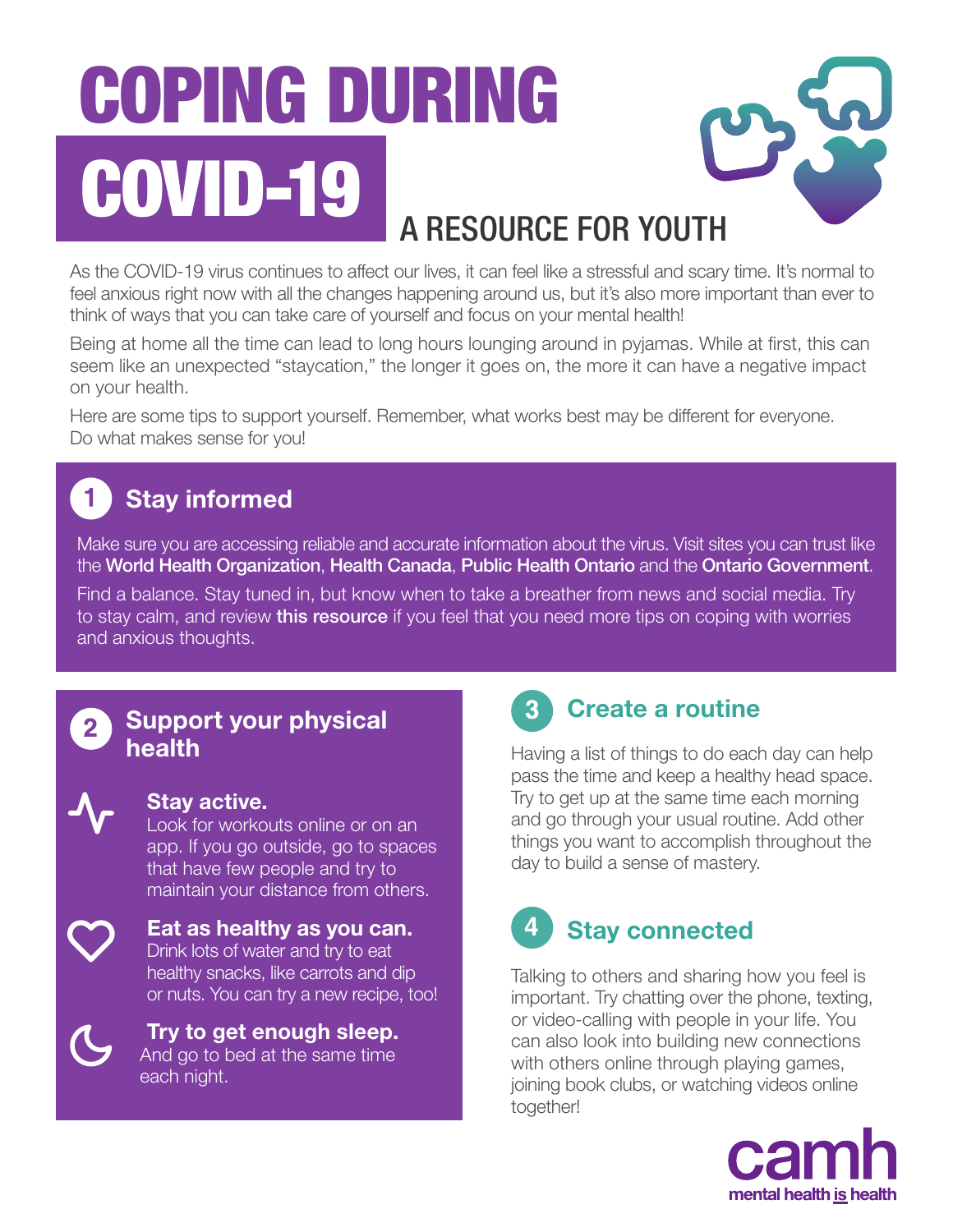# COPING DURING COVID-19 A RESOURCE FOR YOUTH

As the COVID-19 virus continues to affect our lives, it can feel like a stressful and scary time. It's normal to feel anxious right now with all the changes happening around us, but it's also more important than ever to think of ways that you can take care of yourself and focus on your mental health!

Being at home all the time can lead to long hours lounging around in pyjamas. While at first, this can seem like an unexpected "staycation," the longer it goes on, the more it can have a negative impact on your health.

Here are some tips to support yourself. Remember, what works best may be different for everyone. Do what makes sense for you!

# Stay informed

Make sure you are accessing reliable and accurate information about the virus. Visit sites you can trust like the [World Health Organization](https://www.who.int/emergencies/diseases/novel-coronavirus-2019), [Health Canada](https://www.canada.ca/en/public-health/services/diseases/coronavirus-disease-covid-19.html), [Public Health Ontario](https://www.publichealthontario.ca/en/diseases-and-conditions/infectious-diseases/respiratory-diseases/novel-coronavirus/public-resources) and the [Ontario Government](https://www.ontario.ca/page/2019-novel-coronavirus).

Find a balance. Stay tuned in, but know when to take a breather from news and social media. Try to stay calm, and review **[this resource](https://www.camh.ca/-/media/files/camh_covid19_infosheet-challenge_worries-pdf.pdf)** if you feel that you need more tips on coping with worries and anxious thoughts.

### Support your physical health



#### Stay active.

Look for workouts online or on an app. If you go outside, go to spaces that have few people and try to maintain your distance from others.

Eat as healthy as you can. Drink lots of water and try to eat healthy snacks, like carrots and dip or nuts. You can try a new recipe, too!



Try to get enough sleep. And go to bed at the same time each night.



## Create a routine

Having a list of things to do each day can help pass the time and keep a healthy head space. Try to get up at the same time each morning and go through your usual routine. Add other things you want to accomplish throughout the day to build a sense of mastery.

# Stay connected

Talking to others and sharing how you feel is important. Try chatting over the phone, texting, or video-calling with people in your life. You can also look into building new connections with others online through playing games, joining book clubs, or watching videos online together!